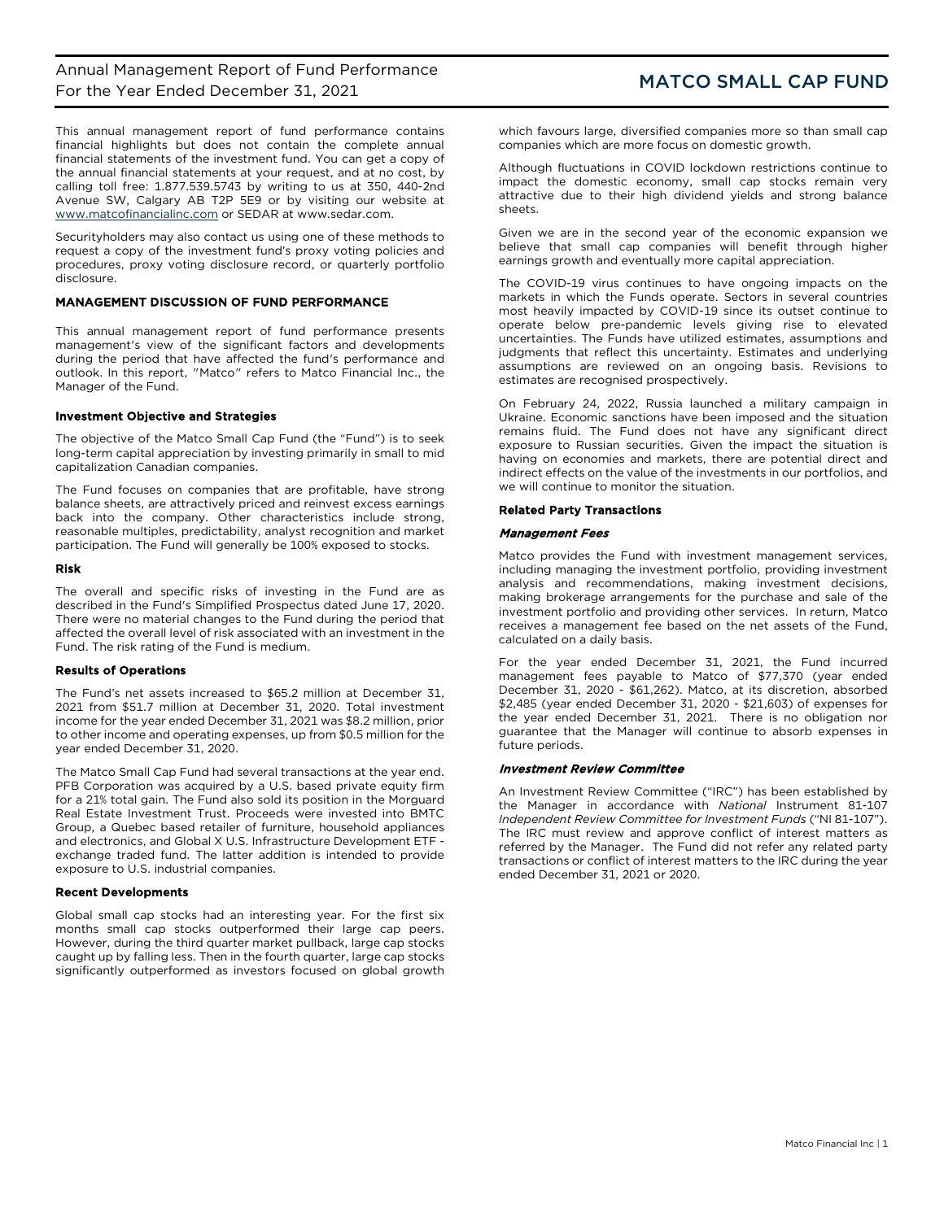This annual management report of fund performance contains financial highlights but does not contain the complete annual financial statements of the investment fund. You can get a copy of the annual financial statements at your request, and at no cost, by calling toll free: 1.877.539.5743 by writing to us at 350, 440-2nd Avenue SW, Calgary AB T2P 5E9 or by visiting our website at [www.matcofinancialinc.com](http://www.matcofinancialinc.com/) or SEDAR at www.sedar.com.

Securityholders may also contact us using one of these methods to request a copy of the investment fund's proxy voting policies and procedures, proxy voting disclosure record, or quarterly portfolio disclosure.

## MANAGEMENT DISCUSSION OF FUND PERFORMANCE

This annual management report of fund performance presents management's view of the significant factors and developments during the period that have affected the fund's performance and outlook. In this report, "Matco" refers to Matco Financial Inc., the Manager of the Fund.

## Investment Objective and Strategies

The objective of the Matco Small Cap Fund (the "Fund") is to seek long-term capital appreciation by investing primarily in small to mid capitalization Canadian companies.

The Fund focuses on companies that are profitable, have strong balance sheets, are attractively priced and reinvest excess earnings back into the company. Other characteristics include strong, reasonable multiples, predictability, analyst recognition and market participation. The Fund will generally be 100% exposed to stocks.

#### Risk

The overall and specific risks of investing in the Fund are as described in the Fund's Simplified Prospectus dated June 17, 2020. There were no material changes to the Fund during the period that affected the overall level of risk associated with an investment in the Fund. The risk rating of the Fund is medium.

### Results of Operations

The Fund's net assets increased to \$65.2 million at December 31, 2021 from \$51.7 million at December 31, 2020. Total investment income for the year ended December 31, 2021 was \$8.2 million, prior to other income and operating expenses, up from \$0.5 million for the year ended December 31, 2020.

The Matco Small Cap Fund had several transactions at the year end. PFB Corporation was acquired by a U.S. based private equity firm for a 21% total gain. The Fund also sold its position in the Morguard Real Estate Investment Trust. Proceeds were invested into BMTC Group, a Quebec based retailer of furniture, household appliances and electronics, and Global X U.S. Infrastructure Development ETF exchange traded fund. The latter addition is intended to provide exposure to U.S. industrial companies.

# Recent Developments

Global small cap stocks had an interesting year. For the first six months small cap stocks outperformed their large cap peers. However, during the third quarter market pullback, large cap stocks caught up by falling less. Then in the fourth quarter, large cap stocks significantly outperformed as investors focused on global growth

which favours large, diversified companies more so than small cap companies which are more focus on domestic growth.

Although fluctuations in COVID lockdown restrictions continue to impact the domestic economy, small cap stocks remain very attractive due to their high dividend yields and strong balance sheets.

Given we are in the second year of the economic expansion we believe that small cap companies will benefit through higher earnings growth and eventually more capital appreciation.

The COVID-19 virus continues to have ongoing impacts on the markets in which the Funds operate. Sectors in several countries most heavily impacted by COVID-19 since its outset continue to operate below pre-pandemic levels giving rise to elevated uncertainties. The Funds have utilized estimates, assumptions and judgments that reflect this uncertainty. Estimates and underlying assumptions are reviewed on an ongoing basis. Revisions to estimates are recognised prospectively.

On February 24, 2022, Russia launched a military campaign in Ukraine. Economic sanctions have been imposed and the situation remains fluid. The Fund does not have any significant direct exposure to Russian securities. Given the impact the situation is having on economies and markets, there are potential direct and indirect effects on the value of the investments in our portfolios, and we will continue to monitor the situation.

## Related Party Transactions

## Management Fees

Matco provides the Fund with investment management services, including managing the investment portfolio, providing investment analysis and recommendations, making investment decisions, making brokerage arrangements for the purchase and sale of the investment portfolio and providing other services. In return, Matco receives a management fee based on the net assets of the Fund, calculated on a daily basis.

For the year ended December 31, 2021, the Fund incurred management fees payable to Matco of \$77,370 (year ended December 31, 2020 - \$61,262). Matco, at its discretion, absorbed \$2,485 (year ended December 31, 2020 - \$21,603) of expenses for the year ended December 31, 2021. There is no obligation nor guarantee that the Manager will continue to absorb expenses in future periods.

#### Investment Review Committee

An Investment Review Committee ("IRC") has been established by the Manager in accordance with *National* Instrument 81-107 *Independent Review Committee for Investment Funds* ("NI 81-107"). The IRC must review and approve conflict of interest matters as referred by the Manager. The Fund did not refer any related party transactions or conflict of interest matters to the IRC during the year ended December 31, 2021 or 2020.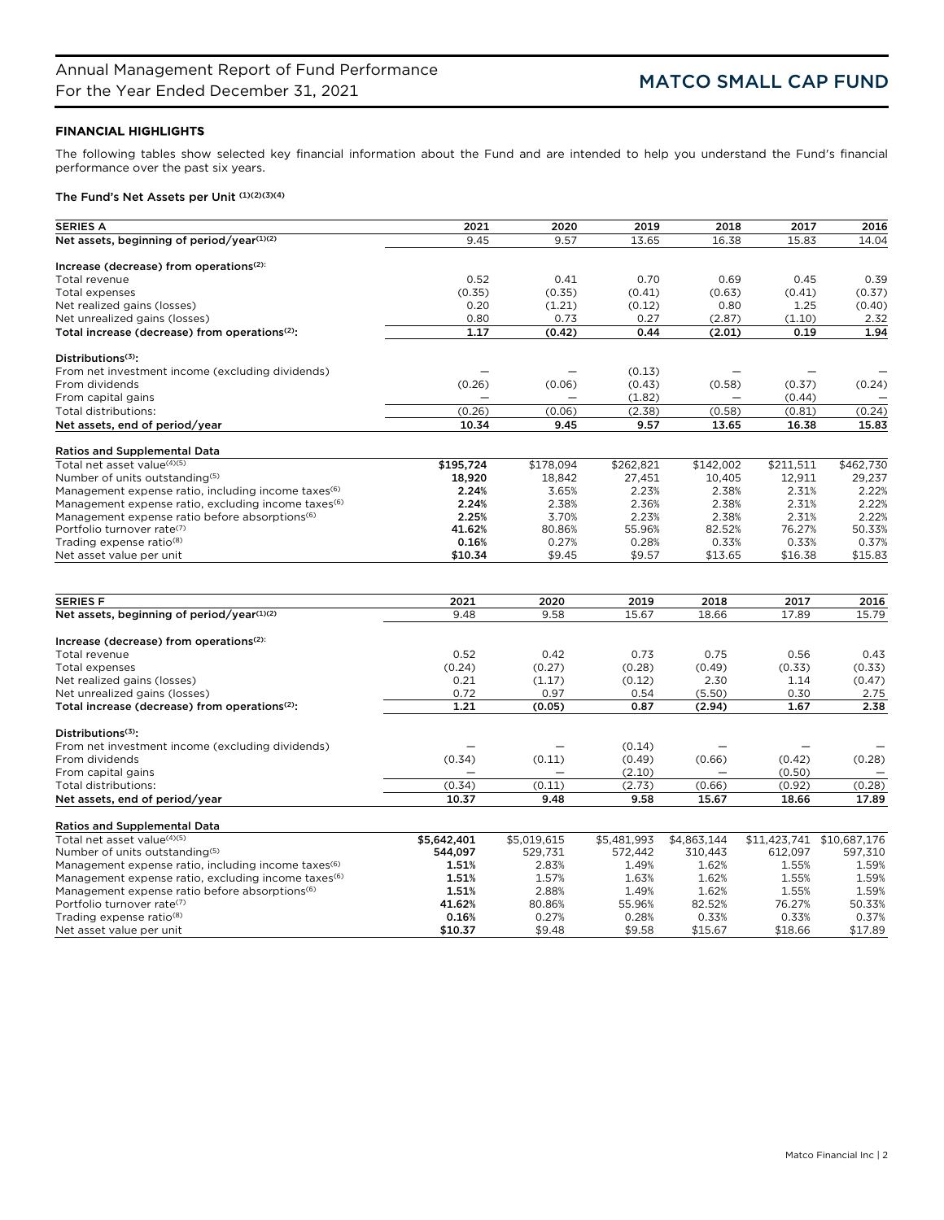# FINANCIAL HIGHLIGHTS

The following tables show selected key financial information about the Fund and are intended to help you understand the Fund's financial performance over the past six years.

# The Fund's Net Assets per Unit (1)(2)(3)(4)

| <b>SERIES A</b>                                                 | 2021        | 2020        | 2019        | 2018        | 2017         | 2016         |
|-----------------------------------------------------------------|-------------|-------------|-------------|-------------|--------------|--------------|
| Net assets, beginning of period/year(1)(2)                      | 9.45        | 9.57        | 13.65       | 16.38       | 15.83        | 14.04        |
|                                                                 |             |             |             |             |              |              |
| Increase (decrease) from operations <sup>(2):</sup>             |             |             |             |             |              |              |
| Total revenue                                                   | 0.52        | 0.41        | 0.70        | 0.69        | 0.45         | 0.39         |
| Total expenses                                                  | (0.35)      | (0.35)      | (0.41)      | (0.63)      | (0.41)       | (0.37)       |
| Net realized gains (losses)                                     | 0.20        | (1.21)      | (0.12)      | 0.80        | 1.25         | (0.40)       |
| Net unrealized gains (losses)                                   | 0.80        | 0.73        | 0.27        | (2.87)      | (1.10)       | 2.32         |
| Total increase (decrease) from operations <sup>(2)</sup> :      | 1.17        | (0.42)      | 0.44        | (2.01)      | 0.19         | 1.94         |
| Distributions $(3)$ :                                           |             |             |             |             |              |              |
| From net investment income (excluding dividends)                |             |             | (0.13)      |             |              |              |
| From dividends                                                  | (0.26)      | (0.06)      | (0.43)      | (0.58)      | (0.37)       | (0.24)       |
| From capital gains                                              |             |             | (1.82)      |             | (0.44)       |              |
| Total distributions:                                            | (0.26)      | (0.06)      | (2.38)      | (0.58)      | (0.81)       | (0.24)       |
| Net assets, end of period/year                                  | 10.34       | 9.45        | 9.57        | 13.65       | 16.38        | 15.83        |
|                                                                 |             |             |             |             |              |              |
| <b>Ratios and Supplemental Data</b>                             |             |             |             |             |              |              |
| Total net asset value <sup>(4)(5)</sup>                         | \$195,724   | \$178,094   | \$262,821   | \$142,002   | \$211,511    | \$462,730    |
| Number of units outstanding <sup>(5)</sup>                      | 18,920      | 18,842      | 27,451      | 10,405      | 12,911       | 29,237       |
| Management expense ratio, including income taxes <sup>(6)</sup> | 2.24%       | 3.65%       | 2.23%       | 2.38%       | 2.31%        | 2.22%        |
| Management expense ratio, excluding income taxes <sup>(6)</sup> | 2.24%       | 2.38%       | 2.36%       | 2.38%       | 2.31%        | 2.22%        |
| Management expense ratio before absorptions <sup>(6)</sup>      | 2.25%       | 3.70%       | 2.23%       | 2.38%       | 2.31%        | 2.22%        |
| Portfolio turnover rate(7)                                      | 41.62%      | 80.86%      | 55.96%      | 82.52%      | 76.27%       | 50.33%       |
| Trading expense ratio <sup>(8)</sup>                            | 0.16%       | 0.27%       | 0.28%       | 0.33%       | 0.33%        | 0.37%        |
| Net asset value per unit                                        | \$10.34     | \$9.45      | \$9.57      | \$13.65     | \$16.38      | \$15.83      |
|                                                                 |             |             |             |             |              |              |
| <b>SERIES F</b>                                                 | 2021        | 2020        | 2019        | 2018        | 2017         | 2016         |
| Net assets, beginning of period/year(1)(2)                      | 9.48        | 9.58        | 15.67       | 18.66       | 17.89        | 15.79        |
|                                                                 |             |             |             |             |              |              |
| Increase (decrease) from operations <sup>(2):</sup>             |             |             |             |             |              |              |
| Total revenue                                                   | 0.52        | 0.42        | 0.73        | 0.75        | 0.56         | 0.43         |
| Total expenses                                                  | (0.24)      | (0.27)      | (0.28)      | (0.49)      | (0.33)       | (0.33)       |
| Net realized gains (losses)                                     | 0.21        | (1.17)      | (0.12)      | 2.30        | 1.14         | (0.47)       |
| Net unrealized gains (losses)                                   | 0.72        | 0.97        | 0.54        | (5.50)      | 0.30         | 2.75         |
| Total increase (decrease) from operations <sup>(2)</sup> :      | 1.21        | (0.05)      | 0.87        | (2.94)      | 1.67         | 2.38         |
| Distributions <sup>(3)</sup> :                                  |             |             |             |             |              |              |
| From net investment income (excluding dividends)                |             |             | (0.14)      |             |              |              |
| From dividends                                                  | (0.34)      | (0.11)      | (0.49)      | (0.66)      | (0.42)       | (0.28)       |
| From capital gains                                              |             |             | (2.10)      |             | (0.50)       |              |
| Total distributions:                                            | (0.34)      | (0.11)      | (2.73)      | (0.66)      | (0.92)       | (0.28)       |
| Net assets, end of period/year                                  | 10.37       | 9.48        | 9.58        | 15.67       | 18.66        | 17.89        |
|                                                                 |             |             |             |             |              |              |
| <b>Ratios and Supplemental Data</b>                             |             |             |             |             |              |              |
| Total net asset value(4)(5)                                     | \$5,642,401 | \$5,019,615 | \$5,481,993 | \$4,863,144 | \$11,423,741 | \$10,687,176 |
| Number of units outstanding(5)                                  | 544,097     | 529,731     | 572,442     | 310,443     | 612,097      | 597,310      |
| Management expense ratio, including income taxes <sup>(6)</sup> | 1.51%       | 2.83%       | 1.49%       | 1.62%       | 1.55%        | 1.59%        |
| Management expense ratio, excluding income taxes <sup>(6)</sup> | 1.51%       | 1.57%       | 1.63%       | 1.62%       | 1.55%        | 1.59%        |
| Management expense ratio before absorptions <sup>(6)</sup>      | 1.51%       | 2.88%       | 1.49%       | 1.62%       | 1.55%        | 1.59%        |
| Portfolio turnover rate(7)                                      | 41.62%      | 80.86%      | 55.96%      | 82.52%      | 76.27%       | 50.33%       |
| Trading expense ratio <sup>(8)</sup>                            | 0.16%       | 0.27%       | 0.28%       | 0.33%       | 0.33%        | 0.37%        |
| Net asset value per unit                                        | \$10.37     | \$9.48      | \$9.58      | \$15.67     | \$18.66      | \$17.89      |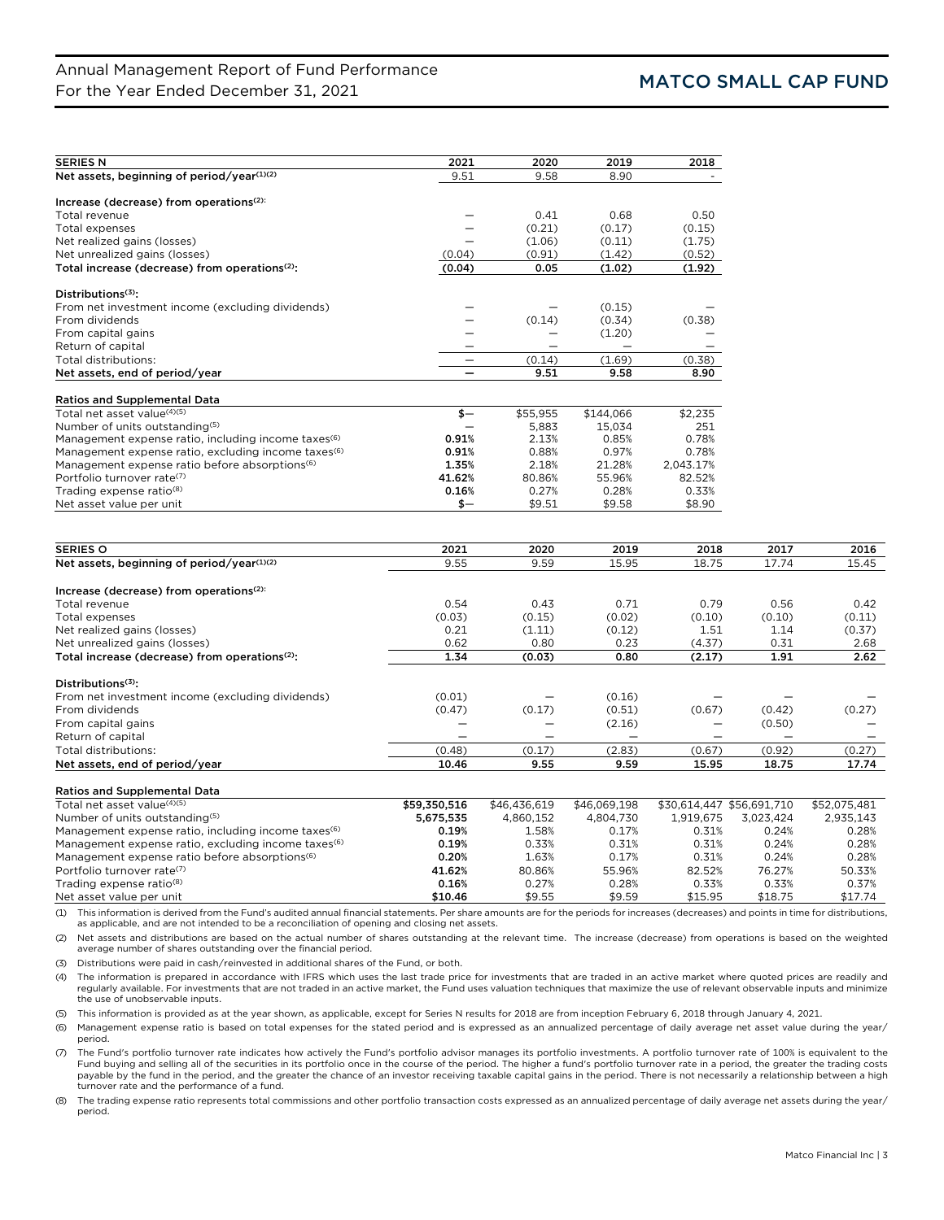| <b>SERIES N</b>                                                                    | 2021   | 2020     | 2019      | 2018      |        |        |
|------------------------------------------------------------------------------------|--------|----------|-----------|-----------|--------|--------|
| Net assets, beginning of period/year(1)(2)                                         | 9.51   | 9.58     | 8.90      |           |        |        |
|                                                                                    |        |          |           |           |        |        |
| Increase (decrease) from operations <sup>(2):</sup>                                |        |          |           |           |        |        |
| Total revenue                                                                      |        | 0.41     | 0.68      | 0.50      |        |        |
| Total expenses                                                                     |        | (0.21)   | (0.17)    | (0.15)    |        |        |
| Net realized gains (losses)                                                        |        | (1.06)   | (0.11)    | (1.75)    |        |        |
| Net unrealized gains (losses)                                                      | (0.04) | (0.91)   | (1.42)    | (0.52)    |        |        |
| Total increase (decrease) from operations <sup>(2)</sup> :                         | (0.04) | 0.05     | (1.02)    | (1.92)    |        |        |
| Distributions <sup>(3)</sup> :                                                     |        |          |           |           |        |        |
| From net investment income (excluding dividends)                                   |        |          | (0.15)    |           |        |        |
| From dividends                                                                     |        | (0.14)   | (0.34)    | (0.38)    |        |        |
| From capital gains                                                                 |        |          | (1.20)    |           |        |        |
| Return of capital                                                                  |        |          |           |           |        |        |
| Total distributions:                                                               |        | (0.14)   | (1.69)    | (0.38)    |        |        |
| Net assets, end of period/year                                                     |        | 9.51     | 9.58      | 8.90      |        |        |
|                                                                                    |        |          |           |           |        |        |
| <b>Ratios and Supplemental Data</b>                                                |        |          |           |           |        |        |
| Total net asset value <sup>(4)(5)</sup>                                            | $$ -$  | \$55,955 | \$144,066 | \$2,235   |        |        |
| Number of units outstanding(5)                                                     |        | 5,883    | 15,034    | 251       |        |        |
| Management expense ratio, including income taxes <sup>(6)</sup>                    | 0.91%  | 2.13%    | 0.85%     | 0.78%     |        |        |
| Management expense ratio, excluding income taxes <sup>(6)</sup>                    | 0.91%  | 0.88%    | 0.97%     | 0.78%     |        |        |
| Management expense ratio before absorptions <sup>(6)</sup>                         | 1.35%  | 2.18%    | 21.28%    | 2,043.17% |        |        |
| Portfolio turnover rate <sup>(7)</sup>                                             | 41.62% | 80.86%   | 55.96%    | 82.52%    |        |        |
| Trading expense ratio <sup>(8)</sup>                                               | 0.16%  | 0.27%    | 0.28%     | 0.33%     |        |        |
| Net asset value per unit                                                           | $$ -$  | \$9.51   | \$9.58    | \$8.90    |        |        |
|                                                                                    |        |          |           |           |        |        |
| <b>SERIES O</b>                                                                    | 2021   | 2020     | 2019      | 2018      | 2017   | 2016   |
| Net assets, beginning of period/year(1)(2)                                         | 9.55   | 9.59     | 15.95     | 18.75     | 17.74  | 15.45  |
| Increase (decrease) from operations <sup>(2):</sup>                                |        |          |           |           |        |        |
| Total revenue                                                                      | 0.54   | 0.43     | 0.71      | 0.79      | 0.56   | 0.42   |
| <b>Total expenses</b>                                                              | (0.03) | (0.15)   | (0.02)    | (0.10)    | (0.10) | (0.11) |
| Net realized gains (losses)                                                        | 0.21   | (1.11)   | (0.12)    | 1.51      | 1.14   | (0.37) |
| Net unrealized gains (losses)                                                      | 0.62   | 0.80     | 0.23      | (4.37)    | 0.31   | 2.68   |
| Total increase (decrease) from operations <sup>(2)</sup> :                         | 1.34   | (0.03)   | 0.80      | (2.17)    | 1.91   | 2.62   |
|                                                                                    |        |          |           |           |        |        |
| Distributions <sup>(3)</sup> :<br>From net investment income (excluding dividends) | (0.01) |          | (0.16)    |           |        |        |
|                                                                                    |        |          |           |           |        |        |

| Net assets, end of period/year                   | 10.46   | 9.55                     | 9.59   | 15.95                    | 18.75  | 17.74  |
|--------------------------------------------------|---------|--------------------------|--------|--------------------------|--------|--------|
| Total distributions:                             | (0.48)  | (0.17)                   | (2.83) | (0.67)                   | (0.92) | (0.27) |
| Return of capital                                |         | $\overline{\phantom{m}}$ |        |                          |        |        |
| From capital gains                               |         |                          | (2.16) | $\overline{\phantom{m}}$ | (0.50) |        |
| From dividends                                   | (0.47)  | (0.17)                   | (0.51) | (0.67)                   | (0.42) | (0.27) |
| Prom net investment income (excluding dividends) | (U.U.L) | $\overline{\phantom{0}}$ | (0.10) | __                       | _      |        |

| <b>Ratios and Supplemental Data</b>                             |              |              |              |           |                           |              |  |
|-----------------------------------------------------------------|--------------|--------------|--------------|-----------|---------------------------|--------------|--|
| Total net asset value(4)(5)                                     | \$59,350,516 | \$46,436,619 | \$46,069,198 |           | \$30,614,447 \$56,691,710 | \$52.075.481 |  |
| Number of units outstanding <sup>(5)</sup>                      | 5.675.535    | 4.860.152    | 4.804.730    | 1.919.675 | 3.023.424                 | 2,935,143    |  |
| Management expense ratio, including income taxes <sup>(6)</sup> | 0.19%        | 1.58%        | 0.17%        | 0.31%     | 0.24%                     | 0.28%        |  |
| Management expense ratio, excluding income taxes <sup>(6)</sup> | 0.19%        | 0.33%        | 0.31%        | 0.31%     | 0.24%                     | 0.28%        |  |
| Management expense ratio before absorptions <sup>(6)</sup>      | 0.20%        | 1.63%        | 0.17%        | 0.31%     | 0.24%                     | 0.28%        |  |
| Portfolio turnover rate <sup>(7)</sup>                          | 41.62%       | 80.86%       | 55.96%       | 82.52%    | 76.27%                    | 50.33%       |  |
| Trading expense ratio <sup>(8)</sup>                            | 0.16%        | 0.27%        | 0.28%        | 0.33%     | 0.33%                     | 0.37%        |  |
| Net asset value per unit                                        | \$10.46      | \$9.55       | \$9.59       | \$15.95   | \$18.75                   | \$17.74      |  |

(1) This information is derived from the Fund's audited annual financial statements. Per share amounts are for the periods for increases (decreases) and points in time for distributions, as applicable, and are not intended to be a reconciliation of opening and closing net assets.

(2) Net assets and distributions are based on the actual number of shares outstanding at the relevant time. The increase (decrease) from operations is based on the weighted average number of shares outstanding over the financial period.

(3) Distributions were paid in cash/reinvested in additional shares of the Fund, or both.

(4) The information is prepared in accordance with IFRS which uses the last trade price for investments that are traded in an active market where quoted prices are readily and regularly available. For investments that are not traded in an active market, the Fund uses valuation techniques that maximize the use of relevant observable inputs and minimize the use of unobservable inputs.

(5) This information is provided as at the year shown, as applicable, except for Series N results for 2018 are from inception February 6, 2018 through January 4, 2021.

(6) Management expense ratio is based on total expenses for the stated period and is expressed as an annualized percentage of daily average net asset value during the year/ period.

(7) The Fund's portfolio turnover rate indicates how actively the Fund's portfolio advisor manages its portfolio investments. A portfolio turnover rate of 100% is equivalent to the Fund buying and selling all of the securities in its portfolio once in the course of the period. The higher a fund's portfolio turnover rate in a period, the greater the trading costs payable by the fund in the period, and the greater the chance of an investor receiving taxable capital gains in the period. There is not necessarily a relationship between a high turnover rate and the performance of a fund.

(8) The trading expense ratio represents total commissions and other portfolio transaction costs expressed as an annualized percentage of daily average net assets during the year/ period.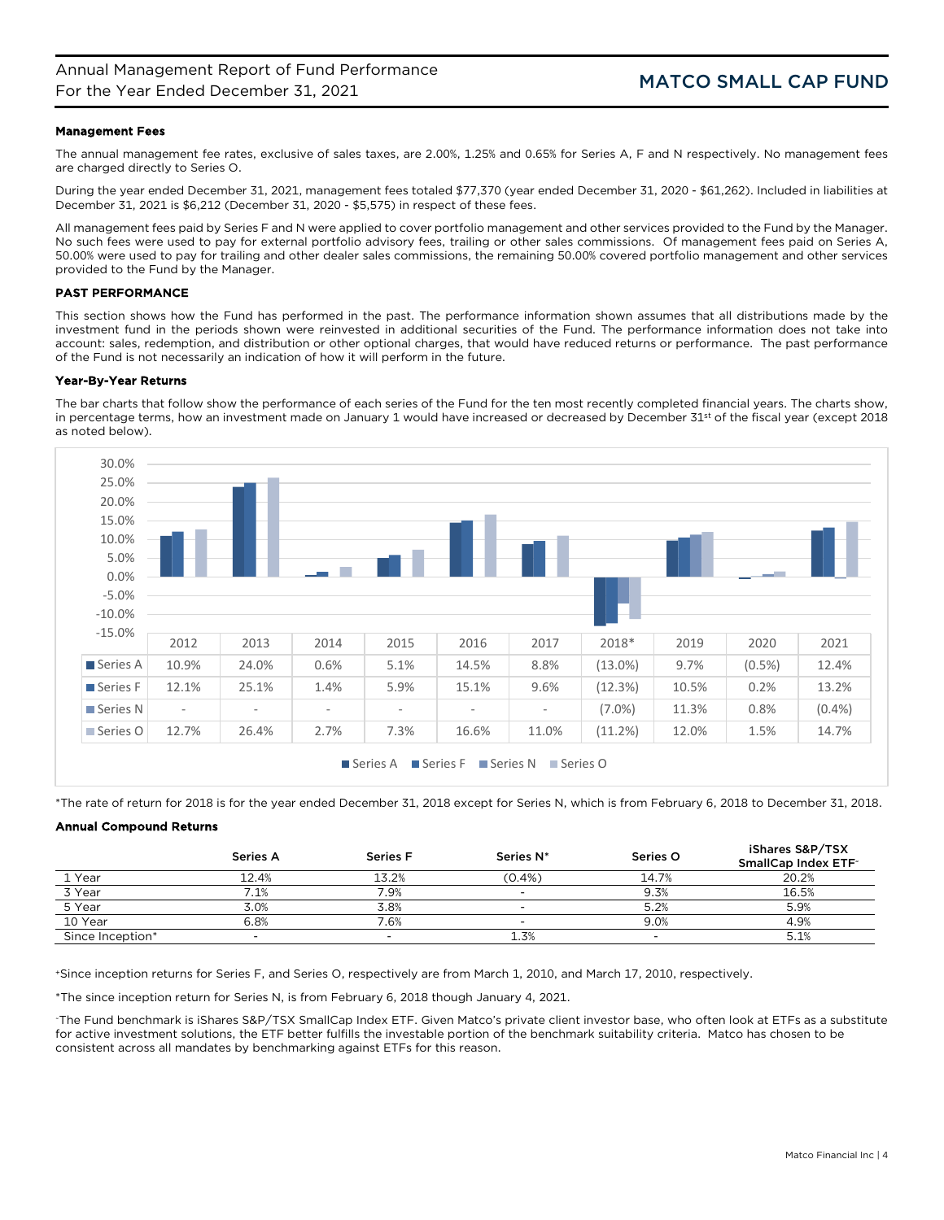# Management Fees

The annual management fee rates, exclusive of sales taxes, are 2.00%, 1.25% and 0.65% for Series A, F and N respectively. No management fees are charged directly to Series O.

During the year ended December 31, 2021, management fees totaled \$77,370 (year ended December 31, 2020 - \$61,262). Included in liabilities at December 31, 2021 is \$6,212 (December 31, 2020 - \$5,575) in respect of these fees.

All management fees paid by Series F and N were applied to cover portfolio management and other services provided to the Fund by the Manager. No such fees were used to pay for external portfolio advisory fees, trailing or other sales commissions. Of management fees paid on Series A, 50.00% were used to pay for trailing and other dealer sales commissions, the remaining 50.00% covered portfolio management and other services provided to the Fund by the Manager.

# PAST PERFORMANCE

This section shows how the Fund has performed in the past. The performance information shown assumes that all distributions made by the investment fund in the periods shown were reinvested in additional securities of the Fund. The performance information does not take into account: sales, redemption, and distribution or other optional charges, that would have reduced returns or performance. The past performance of the Fund is not necessarily an indication of how it will perform in the future.

## Year-By-Year Returns

The bar charts that follow show the performance of each series of the Fund for the ten most recently completed financial years. The charts show, in percentage terms, how an investment made on January 1 would have increased or decreased by December 31<sup>st</sup> of the fiscal year (except 2018 as noted below).



\*The rate of return for 2018 is for the year ended December 31, 2018 except for Series N, which is from February 6, 2018 to December 31, 2018.

# Annual Compound Returns

|                  | <b>Series A</b> | <b>Series F</b> | Series N* | Series O | iShares S&P/TSX<br>SmallCap Index ETF <sup>-</sup> |
|------------------|-----------------|-----------------|-----------|----------|----------------------------------------------------|
| 1 Year           | 12.4%           | 13.2%           | $(0.4\%)$ | 14.7%    | 20.2%                                              |
| 3 Year           | $.1\%$          | $.9\%$          | -         | 9.3%     | 16.5%                                              |
| 5 Year           | 3.0%            | 3.8%            |           | 5.2%     | 5.9%                                               |
| 10 Year          | 6.8%            | $.6\%$          | -         | 9.0%     | 4.9%                                               |
| Since Inception* |                 |                 | 1.3%      |          | 5.1%                                               |

+Since inception returns for Series F, and Series O, respectively are from March 1, 2010, and March 17, 2010, respectively.

\*The since inception return for Series N, is from February 6, 2018 though January 4, 2021.

~The Fund benchmark is iShares S&P/TSX SmallCap Index ETF. Given Matco's private client investor base, who often look at ETFs as a substitute for active investment solutions, the ETF better fulfills the investable portion of the benchmark suitability criteria. Matco has chosen to be consistent across all mandates by benchmarking against ETFs for this reason.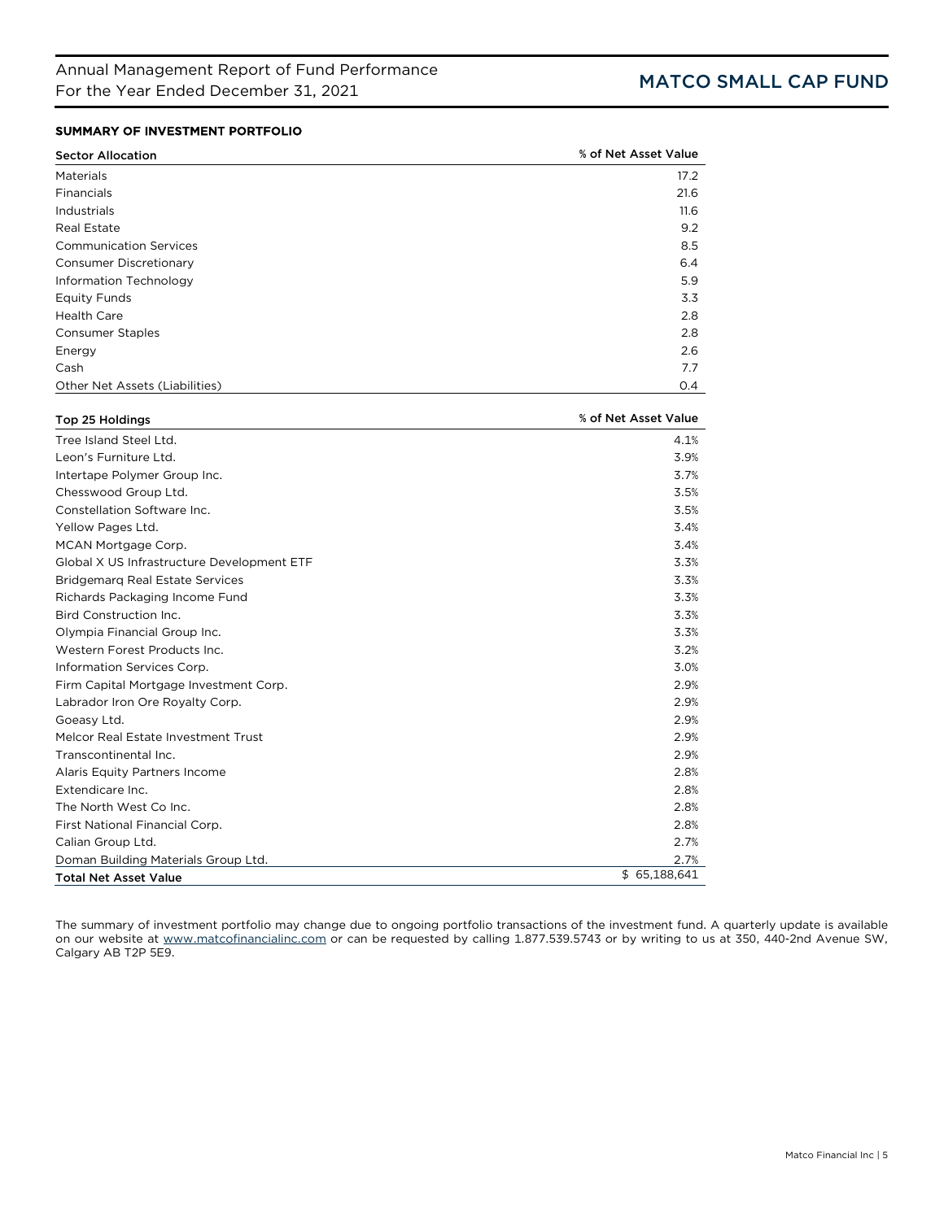# SUMMARY OF INVESTMENT PORTFOLIO

| <b>Sector Allocation</b>       | % of Net Asset Value |
|--------------------------------|----------------------|
| Materials                      | 17.2                 |
| Financials                     | 21.6                 |
| Industrials                    | 11.6                 |
| <b>Real Estate</b>             | 9.2                  |
| <b>Communication Services</b>  | 8.5                  |
| <b>Consumer Discretionary</b>  | 6.4                  |
| Information Technology         | 5.9                  |
| <b>Equity Funds</b>            | 3.3                  |
| <b>Health Care</b>             | 2.8                  |
| <b>Consumer Staples</b>        | 2.8                  |
| Energy                         | 2.6                  |
| Cash                           | 7.7                  |
| Other Net Assets (Liabilities) | O.4                  |

| Top 25 Holdings                            | % of Net Asset Value |
|--------------------------------------------|----------------------|
| Tree Island Steel Ltd.                     | 4.1%                 |
| Leon's Furniture Ltd.                      | 3.9%                 |
| Intertape Polymer Group Inc.               | 3.7%                 |
| Chesswood Group Ltd.                       | 3.5%                 |
| Constellation Software Inc.                | 3.5%                 |
| Yellow Pages Ltd.                          | 3.4%                 |
| MCAN Mortgage Corp.                        | 3.4%                 |
| Global X US Infrastructure Development ETF | 3.3%                 |
| <b>Bridgemarg Real Estate Services</b>     | 3.3%                 |
| Richards Packaging Income Fund             | 3.3%                 |
| Bird Construction Inc.                     | 3.3%                 |
| Olympia Financial Group Inc.               | 3.3%                 |
| Western Forest Products Inc.               | 3.2%                 |
| Information Services Corp.                 | 3.0%                 |
| Firm Capital Mortgage Investment Corp.     | 2.9%                 |
| Labrador Iron Ore Royalty Corp.            | 2.9%                 |
| Goeasy Ltd.                                | 2.9%                 |
| Melcor Real Estate Investment Trust        | 2.9%                 |
| Transcontinental Inc.                      | 2.9%                 |
| Alaris Equity Partners Income              | 2.8%                 |
| Extendicare Inc.                           | 2.8%                 |
| The North West Co Inc.                     | 2.8%                 |
| First National Financial Corp.             | 2.8%                 |
| Calian Group Ltd.                          | 2.7%                 |
| Doman Building Materials Group Ltd.        | 2.7%                 |
| <b>Total Net Asset Value</b>               | \$65,188,641         |

The summary of investment portfolio may change due to ongoing portfolio transactions of the investment fund. A quarterly update is available on our website at [www.matcofinancialinc.com](http://www.matcofinancialinc.com/) or can be requested by calling 1.877.539.5743 or by writing to us at 350, 440-2nd Avenue SW, Calgary AB T2P 5E9.